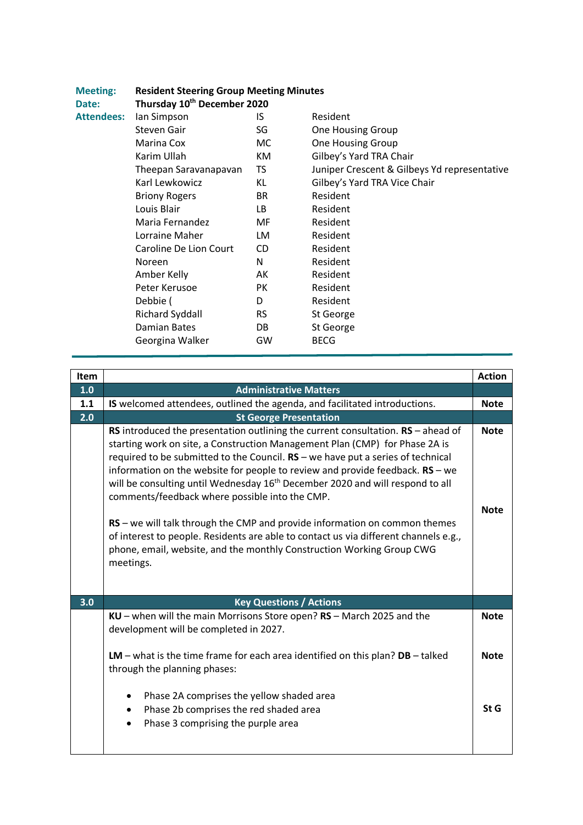| <b>Meeting:</b>   | <b>Resident Steering Group Meeting Minutes</b> |     |                                              |  |
|-------------------|------------------------------------------------|-----|----------------------------------------------|--|
| Date:             | Thursday 10 <sup>th</sup> December 2020        |     |                                              |  |
| <b>Attendees:</b> | lan Simpson                                    | IS. | Resident                                     |  |
|                   | <b>Steven Gair</b>                             | SG  | <b>One Housing Group</b>                     |  |
|                   | Marina Cox                                     | МC  | <b>One Housing Group</b>                     |  |
|                   | Karim Ullah                                    | КM  | Gilbey's Yard TRA Chair                      |  |
|                   | Theepan Saravanapavan                          | TS  | Juniper Crescent & Gilbeys Yd representative |  |
|                   | Karl Lewkowicz                                 | ΚL  | Gilbey's Yard TRA Vice Chair                 |  |
|                   | <b>Briony Rogers</b>                           | BR  | Resident                                     |  |
|                   | Louis Blair                                    | LB  | Resident                                     |  |
|                   | Maria Fernandez                                | MF  | Resident                                     |  |
|                   | Lorraine Maher                                 | LM  | Resident                                     |  |
|                   | Caroline De Lion Court                         | CD  | Resident                                     |  |
|                   | Noreen                                         | N   | Resident                                     |  |
|                   | Amber Kelly                                    | AK  | Resident                                     |  |
|                   | Peter Kerusoe                                  | PК  | Resident                                     |  |
|                   | Debbie (                                       | D   | Resident                                     |  |
|                   | <b>Richard Syddall</b>                         | RS. | St George                                    |  |
|                   | Damian Bates                                   | DB  | St George                                    |  |
|                   | Georgina Walker                                | GW  | <b>BECG</b>                                  |  |
|                   |                                                |     |                                              |  |

| Item |                                                                                                                                                                                                                                                                                                                                                                                                                                                                                                                                                                                                                                                                                                                                                      | <b>Action</b> |  |
|------|------------------------------------------------------------------------------------------------------------------------------------------------------------------------------------------------------------------------------------------------------------------------------------------------------------------------------------------------------------------------------------------------------------------------------------------------------------------------------------------------------------------------------------------------------------------------------------------------------------------------------------------------------------------------------------------------------------------------------------------------------|---------------|--|
| 1.0  | <b>Administrative Matters</b>                                                                                                                                                                                                                                                                                                                                                                                                                                                                                                                                                                                                                                                                                                                        |               |  |
| 1.1  | IS welcomed attendees, outlined the agenda, and facilitated introductions.                                                                                                                                                                                                                                                                                                                                                                                                                                                                                                                                                                                                                                                                           |               |  |
| 2.0  | <b>St George Presentation</b>                                                                                                                                                                                                                                                                                                                                                                                                                                                                                                                                                                                                                                                                                                                        |               |  |
|      | RS introduced the presentation outlining the current consultation. $RS$ – ahead of<br>starting work on site, a Construction Management Plan (CMP) for Phase 2A is<br>required to be submitted to the Council. $RS$ – we have put a series of technical<br>information on the website for people to review and provide feedback. $RS - we$<br>will be consulting until Wednesday 16 <sup>th</sup> December 2020 and will respond to all<br>comments/feedback where possible into the CMP.<br>RS - we will talk through the CMP and provide information on common themes<br>of interest to people. Residents are able to contact us via different channels e.g.,<br>phone, email, website, and the monthly Construction Working Group CWG<br>meetings. |               |  |
| 3.0  | <b>Key Questions / Actions</b>                                                                                                                                                                                                                                                                                                                                                                                                                                                                                                                                                                                                                                                                                                                       |               |  |
|      | $KU$ – when will the main Morrisons Store open? $RS$ – March 2025 and the<br>development will be completed in 2027.                                                                                                                                                                                                                                                                                                                                                                                                                                                                                                                                                                                                                                  |               |  |
|      | $LM$ – what is the time frame for each area identified on this plan? $DB$ – talked<br>through the planning phases:                                                                                                                                                                                                                                                                                                                                                                                                                                                                                                                                                                                                                                   |               |  |
|      | Phase 2A comprises the yellow shaded area<br>Phase 2b comprises the red shaded area<br>$\bullet$<br>Phase 3 comprising the purple area                                                                                                                                                                                                                                                                                                                                                                                                                                                                                                                                                                                                               | St G          |  |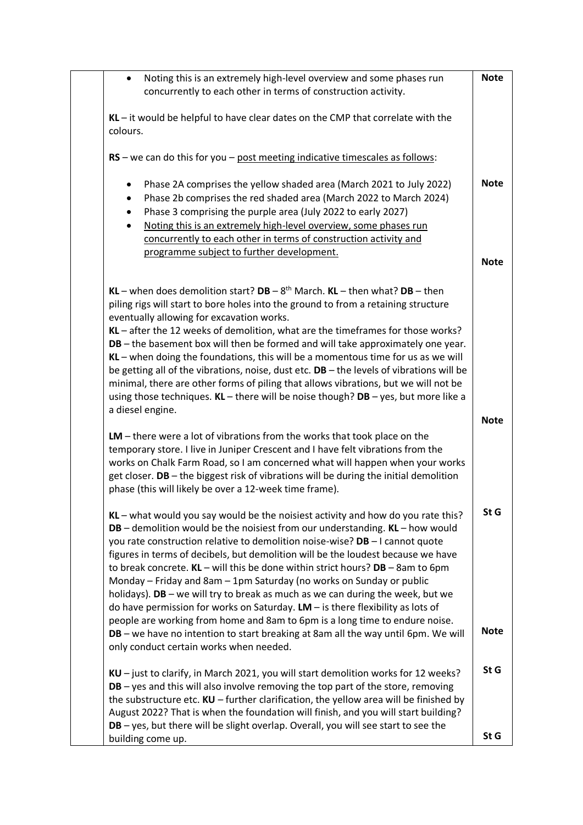| Noting this is an extremely high-level overview and some phases run                      | <b>Note</b> |
|------------------------------------------------------------------------------------------|-------------|
| concurrently to each other in terms of construction activity.                            |             |
|                                                                                          |             |
| $KL - it$ would be helpful to have clear dates on the CMP that correlate with the        |             |
| colours.                                                                                 |             |
|                                                                                          |             |
| $RS$ – we can do this for you – post meeting indicative timescales as follows:           |             |
|                                                                                          |             |
| Phase 2A comprises the yellow shaded area (March 2021 to July 2022)                      | <b>Note</b> |
| Phase 2b comprises the red shaded area (March 2022 to March 2024)<br>$\bullet$           |             |
| Phase 3 comprising the purple area (July 2022 to early 2027)<br>$\bullet$                |             |
|                                                                                          |             |
| Noting this is an extremely high-level overview, some phases run                         |             |
| concurrently to each other in terms of construction activity and                         |             |
| programme subject to further development.                                                | <b>Note</b> |
|                                                                                          |             |
|                                                                                          |             |
| KL – when does demolition start? $DB - 8th$ March. KL – then what? $DB -$ then           |             |
| piling rigs will start to bore holes into the ground to from a retaining structure       |             |
| eventually allowing for excavation works.                                                |             |
| KL - after the 12 weeks of demolition, what are the timeframes for those works?          |             |
| DB - the basement box will then be formed and will take approximately one year.          |             |
| KL - when doing the foundations, this will be a momentous time for us as we will         |             |
| be getting all of the vibrations, noise, dust etc. DB - the levels of vibrations will be |             |
| minimal, there are other forms of piling that allows vibrations, but we will not be      |             |
| using those techniques. $KL$ – there will be noise though? $DB$ – yes, but more like a   |             |
| a diesel engine.                                                                         |             |
|                                                                                          | <b>Note</b> |
| $LM$ – there were a lot of vibrations from the works that took place on the              |             |
| temporary store. I live in Juniper Crescent and I have felt vibrations from the          |             |
| works on Chalk Farm Road, so I am concerned what will happen when your works             |             |
| get closer. $DB$ – the biggest risk of vibrations will be during the initial demolition  |             |
| phase (this will likely be over a 12-week time frame).                                   |             |
|                                                                                          |             |
| KL - what would you say would be the noisiest activity and how do you rate this?         | St G        |
| $DB$ – demolition would be the noisiest from our understanding. $KL$ – how would         |             |
| you rate construction relative to demolition noise-wise? DB - I cannot quote             |             |
| figures in terms of decibels, but demolition will be the loudest because we have         |             |
| to break concrete. $KL -$ will this be done within strict hours? $DB -$ 8am to 6pm       |             |
| Monday - Friday and 8am - 1pm Saturday (no works on Sunday or public                     |             |
| holidays). DB - we will try to break as much as we can during the week, but we           |             |
| do have permission for works on Saturday. $LM -$ is there flexibility as lots of         |             |
| people are working from home and 8am to 6pm is a long time to endure noise.              |             |
| DB - we have no intention to start breaking at 8am all the way until 6pm. We will        | <b>Note</b> |
| only conduct certain works when needed.                                                  |             |
|                                                                                          |             |
|                                                                                          | St G        |
| KU - just to clarify, in March 2021, you will start demolition works for 12 weeks?       |             |
| DB - yes and this will also involve removing the top part of the store, removing         |             |
| the substructure etc. $KU$ – further clarification, the yellow area will be finished by  |             |
| August 2022? That is when the foundation will finish, and you will start building?       |             |
| DB - yes, but there will be slight overlap. Overall, you will see start to see the       | St G        |
| building come up.                                                                        |             |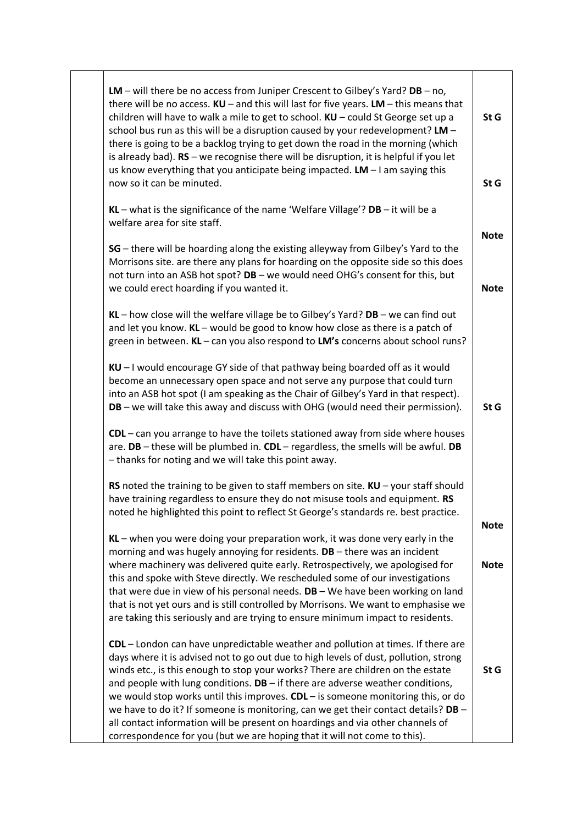| LM – will there be no access from Juniper Crescent to Gilbey's Yard? $DB - no$ ,<br>there will be no access. $KU$ – and this will last for five years. $LM$ – this means that<br>children will have to walk a mile to get to school. KU - could St George set up a<br>school bus run as this will be a disruption caused by your redevelopment? LM -<br>there is going to be a backlog trying to get down the road in the morning (which<br>is already bad). $RS$ – we recognise there will be disruption, it is helpful if you let<br>us know everything that you anticipate being impacted. $LM - I$ am saying this<br>now so it can be minuted.                                                  | St G<br>St G               |
|-----------------------------------------------------------------------------------------------------------------------------------------------------------------------------------------------------------------------------------------------------------------------------------------------------------------------------------------------------------------------------------------------------------------------------------------------------------------------------------------------------------------------------------------------------------------------------------------------------------------------------------------------------------------------------------------------------|----------------------------|
| $KL$ – what is the significance of the name 'Welfare Village'? $DB$ – it will be a<br>welfare area for site staff.                                                                                                                                                                                                                                                                                                                                                                                                                                                                                                                                                                                  |                            |
| SG - there will be hoarding along the existing alleyway from Gilbey's Yard to the<br>Morrisons site. are there any plans for hoarding on the opposite side so this does<br>not turn into an ASB hot spot? DB - we would need OHG's consent for this, but<br>we could erect hoarding if you wanted it.                                                                                                                                                                                                                                                                                                                                                                                               | <b>Note</b><br><b>Note</b> |
| $KL$ – how close will the welfare village be to Gilbey's Yard? $DB$ – we can find out<br>and let you know. KL - would be good to know how close as there is a patch of<br>green in between. KL - can you also respond to LM's concerns about school runs?                                                                                                                                                                                                                                                                                                                                                                                                                                           |                            |
| $KU - I$ would encourage GY side of that pathway being boarded off as it would<br>become an unnecessary open space and not serve any purpose that could turn<br>into an ASB hot spot (I am speaking as the Chair of Gilbey's Yard in that respect).<br>DB - we will take this away and discuss with OHG (would need their permission).                                                                                                                                                                                                                                                                                                                                                              | St G                       |
| CDL - can you arrange to have the toilets stationed away from side where houses<br>are. DB - these will be plumbed in. CDL - regardless, the smells will be awful. DB<br>- thanks for noting and we will take this point away.                                                                                                                                                                                                                                                                                                                                                                                                                                                                      |                            |
| RS noted the training to be given to staff members on site. KU - your staff should<br>have training regardless to ensure they do not misuse tools and equipment. RS<br>noted he highlighted this point to reflect St George's standards re. best practice.                                                                                                                                                                                                                                                                                                                                                                                                                                          | <b>Note</b>                |
| $KL$ – when you were doing your preparation work, it was done very early in the<br>morning and was hugely annoying for residents. DB - there was an incident<br>where machinery was delivered quite early. Retrospectively, we apologised for<br>this and spoke with Steve directly. We rescheduled some of our investigations<br>that were due in view of his personal needs. $DB - We$ have been working on land<br>that is not yet ours and is still controlled by Morrisons. We want to emphasise we<br>are taking this seriously and are trying to ensure minimum impact to residents.                                                                                                         | <b>Note</b>                |
| <b>CDL</b> – London can have unpredictable weather and pollution at times. If there are<br>days where it is advised not to go out due to high levels of dust, pollution, strong<br>winds etc., is this enough to stop your works? There are children on the estate<br>and people with lung conditions. $DB - if$ there are adverse weather conditions,<br>we would stop works until this improves. $CDL -$ is someone monitoring this, or do<br>we have to do it? If someone is monitoring, can we get their contact details? $DB -$<br>all contact information will be present on hoardings and via other channels of<br>correspondence for you (but we are hoping that it will not come to this). | St G                       |

T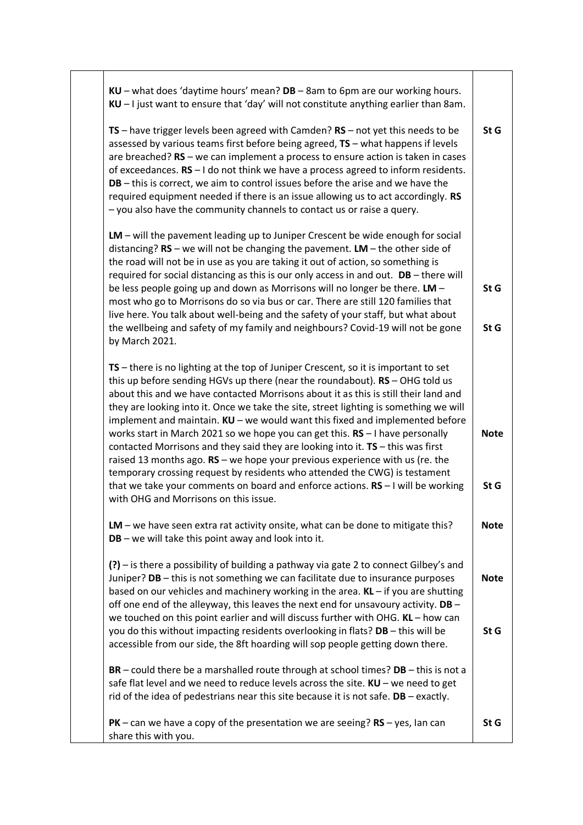| $KU$ – what does 'daytime hours' mean? $DB$ – 8am to 6pm are our working hours.<br>KU - I just want to ensure that 'day' will not constitute anything earlier than 8am.                                                                                                                                                                                                                                                                                                                                                                                                                                                                                                                                                                                                                                                                                                                                       |                     |
|---------------------------------------------------------------------------------------------------------------------------------------------------------------------------------------------------------------------------------------------------------------------------------------------------------------------------------------------------------------------------------------------------------------------------------------------------------------------------------------------------------------------------------------------------------------------------------------------------------------------------------------------------------------------------------------------------------------------------------------------------------------------------------------------------------------------------------------------------------------------------------------------------------------|---------------------|
| TS – have trigger levels been agreed with Camden? $RS$ – not yet this needs to be<br>assessed by various teams first before being agreed, TS - what happens if levels<br>are breached? RS - we can implement a process to ensure action is taken in cases<br>of exceedances. $RS - I$ do not think we have a process agreed to inform residents.<br>$DB$ – this is correct, we aim to control issues before the arise and we have the<br>required equipment needed if there is an issue allowing us to act accordingly. RS<br>- you also have the community channels to contact us or raise a query.                                                                                                                                                                                                                                                                                                          | St G                |
| LM - will the pavement leading up to Juniper Crescent be wide enough for social<br>distancing? $RS$ – we will not be changing the pavement. $LM$ – the other side of<br>the road will not be in use as you are taking it out of action, so something is<br>required for social distancing as this is our only access in and out. DB - there will<br>be less people going up and down as Morrisons will no longer be there. LM -<br>most who go to Morrisons do so via bus or car. There are still 120 families that<br>live here. You talk about well-being and the safety of your staff, but what about<br>the wellbeing and safety of my family and neighbours? Covid-19 will not be gone<br>by March 2021.                                                                                                                                                                                                 | St G<br>St G        |
| TS - there is no lighting at the top of Juniper Crescent, so it is important to set<br>this up before sending HGVs up there (near the roundabout). $RS - OHG$ told us<br>about this and we have contacted Morrisons about it as this is still their land and<br>they are looking into it. Once we take the site, street lighting is something we will<br>implement and maintain. $KU -$ we would want this fixed and implemented before<br>works start in March 2021 so we hope you can get this. $RS - I$ have personally<br>contacted Morrisons and they said they are looking into it. $TS$ – this was first<br>raised 13 months ago. $RS$ – we hope your previous experience with us (re. the<br>temporary crossing request by residents who attended the CWG) is testament<br>that we take your comments on board and enforce actions. $RS - I$ will be working<br>with OHG and Morrisons on this issue. | <b>Note</b><br>St G |
| $LM$ – we have seen extra rat activity onsite, what can be done to mitigate this?<br>$DB - we will take this point away and look into it.$                                                                                                                                                                                                                                                                                                                                                                                                                                                                                                                                                                                                                                                                                                                                                                    | <b>Note</b>         |
| $(?)$ – is there a possibility of building a pathway via gate 2 to connect Gilbey's and<br>Juniper? DB - this is not something we can facilitate due to insurance purposes<br>based on our vehicles and machinery working in the area. $KL - if$ you are shutting<br>off one end of the alleyway, this leaves the next end for unsavoury activity. DB -<br>we touched on this point earlier and will discuss further with OHG. $KL$ – how can                                                                                                                                                                                                                                                                                                                                                                                                                                                                 | <b>Note</b>         |
| you do this without impacting residents overlooking in flats? DB - this will be<br>accessible from our side, the 8ft hoarding will sop people getting down there.                                                                                                                                                                                                                                                                                                                                                                                                                                                                                                                                                                                                                                                                                                                                             | St G                |
| BR - could there be a marshalled route through at school times? DB - this is not a<br>safe flat level and we need to reduce levels across the site. $KU$ – we need to get<br>rid of the idea of pedestrians near this site because it is not safe. $DB$ – exactly.                                                                                                                                                                                                                                                                                                                                                                                                                                                                                                                                                                                                                                            |                     |
| <b>PK</b> – can we have a copy of the presentation we are seeing? $RS$ – yes, lan can<br>share this with you.                                                                                                                                                                                                                                                                                                                                                                                                                                                                                                                                                                                                                                                                                                                                                                                                 | St G                |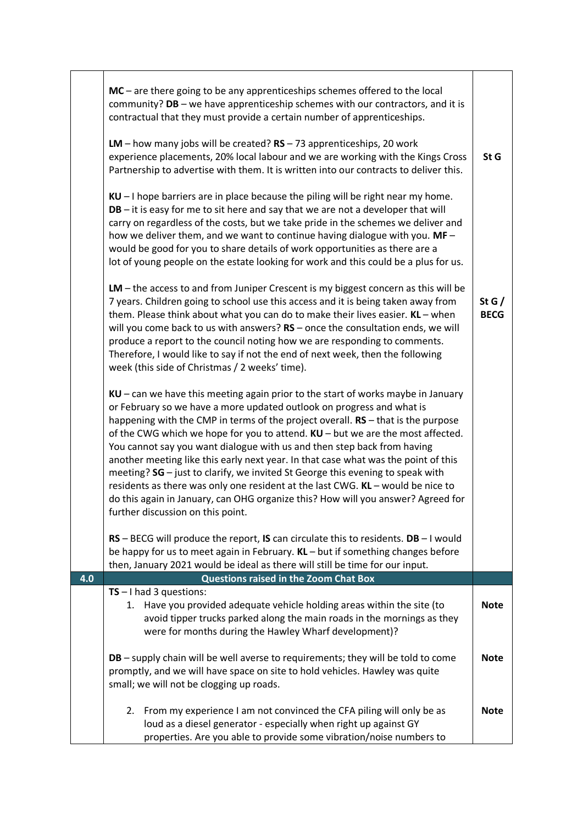|     | $MC$ – are there going to be any apprenticeships schemes offered to the local<br>community? DB - we have apprenticeship schemes with our contractors, and it is<br>contractual that they must provide a certain number of apprenticeships.<br>LM – how many jobs will be created? $RS - 73$ apprenticeships, 20 work<br>experience placements, 20% local labour and we are working with the Kings Cross<br>Partnership to advertise with them. It is written into our contracts to deliver this.<br>$KU - I$ hope barriers are in place because the piling will be right near my home.<br>$DB - it$ is easy for me to sit here and say that we are not a developer that will<br>carry on regardless of the costs, but we take pride in the schemes we deliver and<br>how we deliver them, and we want to continue having dialogue with you. MF -<br>would be good for you to share details of work opportunities as there are a<br>lot of young people on the estate looking for work and this could be a plus for us. | St G                    |
|-----|------------------------------------------------------------------------------------------------------------------------------------------------------------------------------------------------------------------------------------------------------------------------------------------------------------------------------------------------------------------------------------------------------------------------------------------------------------------------------------------------------------------------------------------------------------------------------------------------------------------------------------------------------------------------------------------------------------------------------------------------------------------------------------------------------------------------------------------------------------------------------------------------------------------------------------------------------------------------------------------------------------------------|-------------------------|
|     | LM - the access to and from Juniper Crescent is my biggest concern as this will be<br>7 years. Children going to school use this access and it is being taken away from<br>them. Please think about what you can do to make their lives easier. KL - when<br>will you come back to us with answers? $RS$ – once the consultation ends, we will<br>produce a report to the council noting how we are responding to comments.<br>Therefore, I would like to say if not the end of next week, then the following<br>week (this side of Christmas / 2 weeks' time).                                                                                                                                                                                                                                                                                                                                                                                                                                                        | St G $/$<br><b>BECG</b> |
|     | $KU$ – can we have this meeting again prior to the start of works maybe in January<br>or February so we have a more updated outlook on progress and what is<br>happening with the CMP in terms of the project overall. RS - that is the purpose<br>of the CWG which we hope for you to attend. $KU -$ but we are the most affected.<br>You cannot say you want dialogue with us and then step back from having<br>another meeting like this early next year. In that case what was the point of this<br>meeting? SG - just to clarify, we invited St George this evening to speak with<br>residents as there was only one resident at the last CWG. KL - would be nice to<br>do this again in January, can OHG organize this? How will you answer? Agreed for<br>further discussion on this point.                                                                                                                                                                                                                     |                         |
|     | $RS - BECG$ will produce the report, IS can circulate this to residents. $DB - I$ would<br>be happy for us to meet again in February. KL - but if something changes before<br>then, January 2021 would be ideal as there will still be time for our input.                                                                                                                                                                                                                                                                                                                                                                                                                                                                                                                                                                                                                                                                                                                                                             |                         |
| 4.0 | <b>Questions raised in the Zoom Chat Box</b>                                                                                                                                                                                                                                                                                                                                                                                                                                                                                                                                                                                                                                                                                                                                                                                                                                                                                                                                                                           |                         |
|     | $TS - I$ had 3 questions:<br>1. Have you provided adequate vehicle holding areas within the site (to<br>avoid tipper trucks parked along the main roads in the mornings as they<br>were for months during the Hawley Wharf development)?                                                                                                                                                                                                                                                                                                                                                                                                                                                                                                                                                                                                                                                                                                                                                                               | <b>Note</b>             |
|     | DB - supply chain will be well averse to requirements; they will be told to come<br>promptly, and we will have space on site to hold vehicles. Hawley was quite<br>small; we will not be clogging up roads.                                                                                                                                                                                                                                                                                                                                                                                                                                                                                                                                                                                                                                                                                                                                                                                                            | <b>Note</b>             |
|     | 2. From my experience I am not convinced the CFA piling will only be as<br>loud as a diesel generator - especially when right up against GY<br>properties. Are you able to provide some vibration/noise numbers to                                                                                                                                                                                                                                                                                                                                                                                                                                                                                                                                                                                                                                                                                                                                                                                                     | <b>Note</b>             |